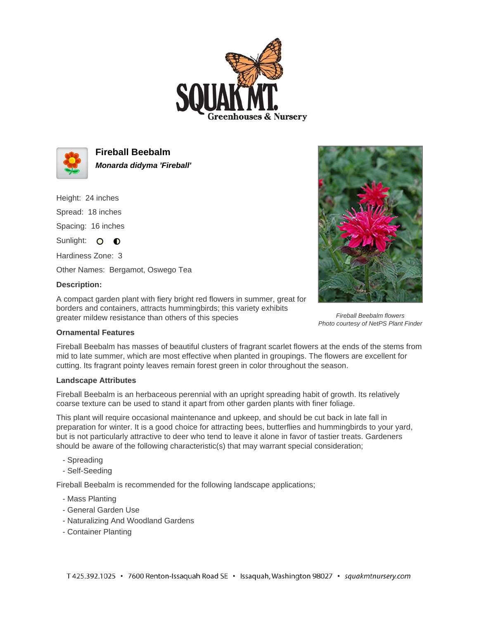



**Fireball Beebalm Monarda didyma 'Fireball'**

Height: 24 inches

Spread: 18 inches

Spacing: 16 inches

Sunlight: O **O** 

Hardiness Zone: 3

Other Names: Bergamot, Oswego Tea

## **Description:**

A compact garden plant with fiery bright red flowers in summer, great for borders and containers, attracts hummingbirds; this variety exhibits greater mildew resistance than others of this species



Fireball Beebalm flowers Photo courtesy of NetPS Plant Finder

## **Ornamental Features**

Fireball Beebalm has masses of beautiful clusters of fragrant scarlet flowers at the ends of the stems from mid to late summer, which are most effective when planted in groupings. The flowers are excellent for cutting. Its fragrant pointy leaves remain forest green in color throughout the season.

## **Landscape Attributes**

Fireball Beebalm is an herbaceous perennial with an upright spreading habit of growth. Its relatively coarse texture can be used to stand it apart from other garden plants with finer foliage.

This plant will require occasional maintenance and upkeep, and should be cut back in late fall in preparation for winter. It is a good choice for attracting bees, butterflies and hummingbirds to your yard, but is not particularly attractive to deer who tend to leave it alone in favor of tastier treats. Gardeners should be aware of the following characteristic(s) that may warrant special consideration;

- Spreading
- Self-Seeding

Fireball Beebalm is recommended for the following landscape applications;

- Mass Planting
- General Garden Use
- Naturalizing And Woodland Gardens
- Container Planting